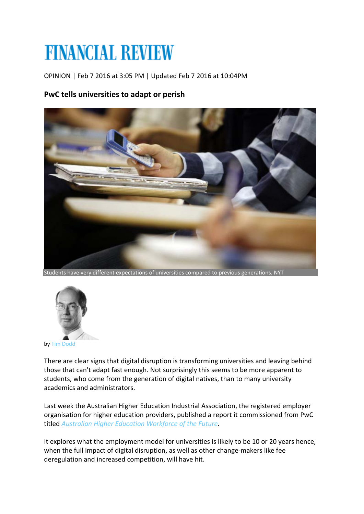## **FINANCIAL REVIEW**

OPINION | Feb 7 2016 at 3:05 PM | Updated Feb 7 2016 at 10:04PM

## **PwC tells universities to adapt or perish**



Students have very different expectations of universities compared to previous generations. NYT



by [Tim Dodd](http://www.afr.com/tim-dodd-j7gb3)

There are clear signs that digital disruption is transforming universities and leaving behind those that can't adapt fast enough. Not surprisingly this seems to be more apparent to students, who come from the generation of digital natives, than to many university academics and administrators.

Last week the Australian Higher Education Industrial Association, the registered employer organisation for higher education providers, published a report it commissioned from PwC titled *[Australian Higher Education Workforce of the Future](http://www.aheia.edu.au/news/higher-education-workforce-of-the-future-167)*.

It explores what the employment model for universities is likely to be 10 or 20 years hence, when the full impact of digital disruption, as well as other change-makers like fee deregulation and increased competition, will have hit.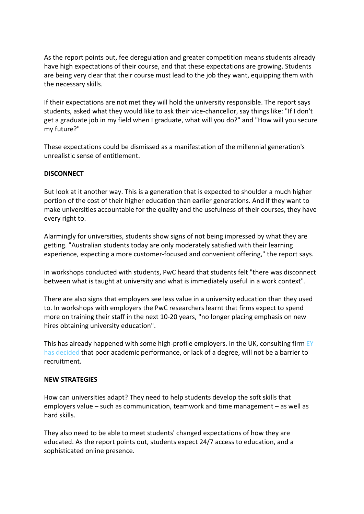As the report points out, fee deregulation and greater competition means students already have high expectations of their course, and that these expectations are growing. Students are being very clear that their course must lead to the job they want, equipping them with the necessary skills.

If their expectations are not met they will hold the university responsible. The report says students, asked what they would like to ask their vice-chancellor, say things like: "If I don't get a graduate job in my field when I graduate, what will you do?" and "How will you secure my future?"

These expectations could be dismissed as a manifestation of the millennial generation's unrealistic sense of entitlement.

## **DISCONNECT**

But look at it another way. This is a generation that is expected to shoulder a much higher portion of the cost of their higher education than earlier generations. And if they want to make universities accountable for the quality and the usefulness of their courses, they have every right to.

Alarmingly for universities, students show signs of not being impressed by what they are getting. "Australian students today are only moderately satisfied with their learning experience, expecting a more customer-focused and convenient offering," the report says.

In workshops conducted with students, PwC heard that students felt "there was disconnect between what is taught at university and what is immediately useful in a work context".

There are also signs that employers see less value in a university education than they used to. In workshops with employers the PwC researchers learnt that firms expect to spend more on training their staff in the next 10-20 years, "no longer placing emphasis on new hires obtaining university education".

This has already happened with some high-profile employers. In the UK, consulting firm EY [has decided](http://www.ey.com/UK/en/Newsroom/News-releases/15-08-03---EY-transforms-its-recruitment-selection-process-for-graduates-undergraduates-and-school-leavers) that poor academic performance, or lack of a degree, will not be a barrier to recruitment.

## **NEW STRATEGIES**

How can universities adapt? They need to help students develop the soft skills that employers value – such as communication, teamwork and time management – as well as hard skills.

They also need to be able to meet students' changed expectations of how they are educated. As the report points out, students expect 24/7 access to education, and a sophisticated online presence.